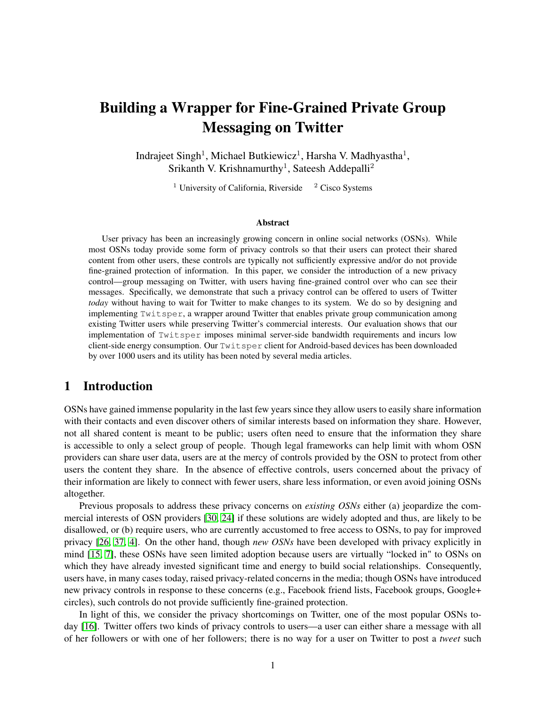# Building a Wrapper for Fine-Grained Private Group Messaging on Twitter

Indrajeet Singh<sup>1</sup>, Michael Butkiewicz<sup>1</sup>, Harsha V. Madhyastha<sup>1</sup>, Srikanth V. Krishnamurthy<sup>1</sup>, Sateesh Addepalli<sup>2</sup>

<sup>1</sup> University of California, Riverside  $\frac{2 \text{ Cisco Systems}}{2}$ 

#### Abstract

User privacy has been an increasingly growing concern in online social networks (OSNs). While most OSNs today provide some form of privacy controls so that their users can protect their shared content from other users, these controls are typically not sufficiently expressive and/or do not provide fine-grained protection of information. In this paper, we consider the introduction of a new privacy control—group messaging on Twitter, with users having fine-grained control over who can see their messages. Specifically, we demonstrate that such a privacy control can be offered to users of Twitter *today* without having to wait for Twitter to make changes to its system. We do so by designing and implementing Twitsper, a wrapper around Twitter that enables private group communication among existing Twitter users while preserving Twitter's commercial interests. Our evaluation shows that our implementation of Twitsper imposes minimal server-side bandwidth requirements and incurs low client-side energy consumption. Our Twitsper client for Android-based devices has been downloaded by over 1000 users and its utility has been noted by several media articles.

### 1 Introduction

OSNs have gained immense popularity in the last few years since they allow users to easily share information with their contacts and even discover others of similar interests based on information they share. However, not all shared content is meant to be public; users often need to ensure that the information they share is accessible to only a select group of people. Though legal frameworks can help limit with whom OSN providers can share user data, users are at the mercy of controls provided by the OSN to protect from other users the content they share. In the absence of effective controls, users concerned about the privacy of their information are likely to connect with fewer users, share less information, or even avoid joining OSNs altogether.

Previous proposals to address these privacy concerns on *existing OSNs* either (a) jeopardize the commercial interests of OSN providers [\[30,](#page-12-0) [24\]](#page-12-1) if these solutions are widely adopted and thus, are likely to be disallowed, or (b) require users, who are currently accustomed to free access to OSNs, to pay for improved privacy [\[26,](#page-12-2) [37,](#page-13-0) [4\]](#page-11-0). On the other hand, though *new OSNs* have been developed with privacy explicitly in mind [\[15,](#page-12-3) [7\]](#page-11-1), these OSNs have seen limited adoption because users are virtually "locked in" to OSNs on which they have already invested significant time and energy to build social relationships. Consequently, users have, in many cases today, raised privacy-related concerns in the media; though OSNs have introduced new privacy controls in response to these concerns (e.g., Facebook friend lists, Facebook groups, Google+ circles), such controls do not provide sufficiently fine-grained protection.

In light of this, we consider the privacy shortcomings on Twitter, one of the most popular OSNs to-day [\[16\]](#page-12-4). Twitter offers two kinds of privacy controls to users—a user can either share a message with all of her followers or with one of her followers; there is no way for a user on Twitter to post a *tweet* such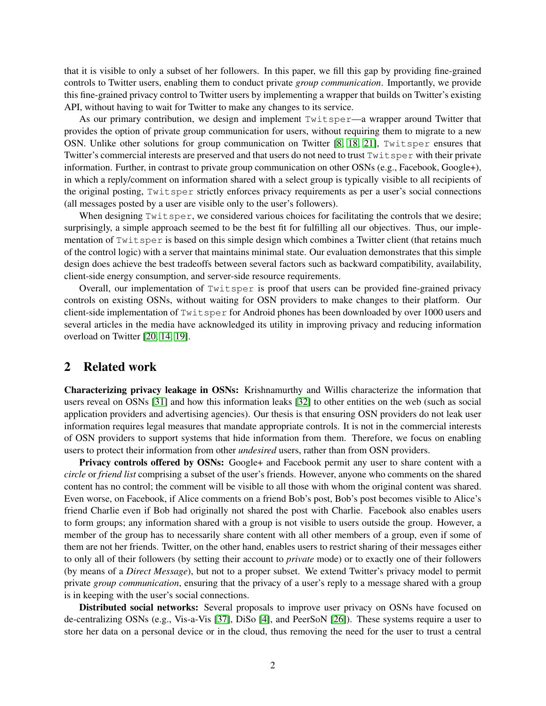that it is visible to only a subset of her followers. In this paper, we fill this gap by providing fine-grained controls to Twitter users, enabling them to conduct private *group communication*. Importantly, we provide this fine-grained privacy control to Twitter users by implementing a wrapper that builds on Twitter's existing API, without having to wait for Twitter to make any changes to its service.

As our primary contribution, we design and implement Twitsper—a wrapper around Twitter that provides the option of private group communication for users, without requiring them to migrate to a new OSN. Unlike other solutions for group communication on Twitter [\[8,](#page-12-5) [18,](#page-12-6) [21\]](#page-12-7), Twitsper ensures that Twitter's commercial interests are preserved and that users do not need to trust Twitsper with their private information. Further, in contrast to private group communication on other OSNs (e.g., Facebook, Google+), in which a reply/comment on information shared with a select group is typically visible to all recipients of the original posting, Twitsper strictly enforces privacy requirements as per a user's social connections (all messages posted by a user are visible only to the user's followers).

When designing Twitsper, we considered various choices for facilitating the controls that we desire; surprisingly, a simple approach seemed to be the best fit for fulfilling all our objectives. Thus, our implementation of Twitsper is based on this simple design which combines a Twitter client (that retains much of the control logic) with a server that maintains minimal state. Our evaluation demonstrates that this simple design does achieve the best tradeoffs between several factors such as backward compatibility, availability, client-side energy consumption, and server-side resource requirements.

Overall, our implementation of Twitsper is proof that users can be provided fine-grained privacy controls on existing OSNs, without waiting for OSN providers to make changes to their platform. Our client-side implementation of Twitsper for Android phones has been downloaded by over 1000 users and several articles in the media have acknowledged its utility in improving privacy and reducing information overload on Twitter [\[20,](#page-12-8) [14,](#page-12-9) [19\]](#page-12-10).

### 2 Related work

Characterizing privacy leakage in OSNs: Krishnamurthy and Willis characterize the information that users reveal on OSNs [\[31\]](#page-12-11) and how this information leaks [\[32\]](#page-12-12) to other entities on the web (such as social application providers and advertising agencies). Our thesis is that ensuring OSN providers do not leak user information requires legal measures that mandate appropriate controls. It is not in the commercial interests of OSN providers to support systems that hide information from them. Therefore, we focus on enabling users to protect their information from other *undesired* users, rather than from OSN providers.

Privacy controls offered by OSNs: Google+ and Facebook permit any user to share content with a *circle* or *friend list* comprising a subset of the user's friends. However, anyone who comments on the shared content has no control; the comment will be visible to all those with whom the original content was shared. Even worse, on Facebook, if Alice comments on a friend Bob's post, Bob's post becomes visible to Alice's friend Charlie even if Bob had originally not shared the post with Charlie. Facebook also enables users to form groups; any information shared with a group is not visible to users outside the group. However, a member of the group has to necessarily share content with all other members of a group, even if some of them are not her friends. Twitter, on the other hand, enables users to restrict sharing of their messages either to only all of their followers (by setting their account to *private* mode) or to exactly one of their followers (by means of a *Direct Message*), but not to a proper subset. We extend Twitter's privacy model to permit private *group communication*, ensuring that the privacy of a user's reply to a message shared with a group is in keeping with the user's social connections.

Distributed social networks: Several proposals to improve user privacy on OSNs have focused on de-centralizing OSNs (e.g., Vis-a-Vis [\[37\]](#page-13-0), DiSo [\[4\]](#page-11-0), and PeerSoN [\[26\]](#page-12-2)). These systems require a user to store her data on a personal device or in the cloud, thus removing the need for the user to trust a central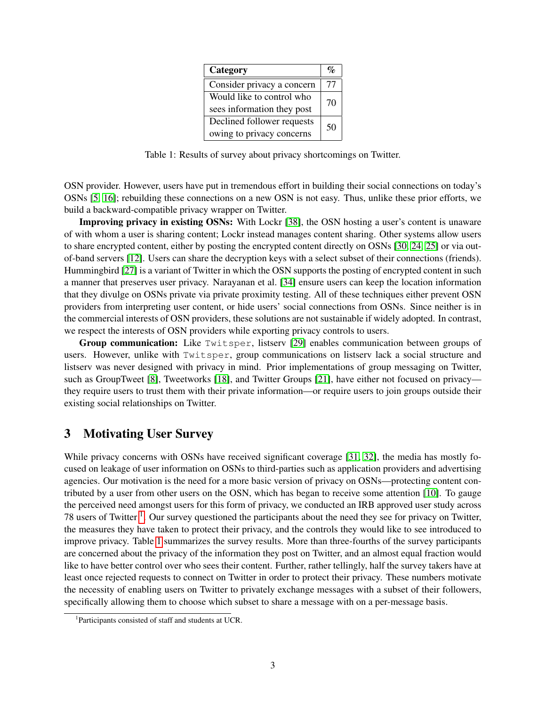| Category                   |    |
|----------------------------|----|
| Consider privacy a concern | 77 |
| Would like to control who  | 70 |
| sees information they post |    |
| Declined follower requests | 50 |
| owing to privacy concerns  |    |

<span id="page-2-1"></span>Table 1: Results of survey about privacy shortcomings on Twitter.

OSN provider. However, users have put in tremendous effort in building their social connections on today's OSNs [\[5,](#page-11-2) [16\]](#page-12-4); rebuilding these connections on a new OSN is not easy. Thus, unlike these prior efforts, we build a backward-compatible privacy wrapper on Twitter.

Improving privacy in existing OSNs: With Lockr [\[38\]](#page-13-1), the OSN hosting a user's content is unaware of with whom a user is sharing content; Lockr instead manages content sharing. Other systems allow users to share encrypted content, either by posting the encrypted content directly on OSNs [\[30,](#page-12-0) [24,](#page-12-1) [25\]](#page-12-13) or via outof-band servers [\[12\]](#page-12-14). Users can share the decryption keys with a select subset of their connections (friends). Hummingbird [\[27\]](#page-12-15) is a variant of Twitter in which the OSN supports the posting of encrypted content in such a manner that preserves user privacy. Narayanan et al. [\[34\]](#page-13-2) ensure users can keep the location information that they divulge on OSNs private via private proximity testing. All of these techniques either prevent OSN providers from interpreting user content, or hide users' social connections from OSNs. Since neither is in the commercial interests of OSN providers, these solutions are not sustainable if widely adopted. In contrast, we respect the interests of OSN providers while exporting privacy controls to users.

Group communication: Like Twitsper, listserv [\[29\]](#page-12-16) enables communication between groups of users. However, unlike with Twitsper, group communications on listserv lack a social structure and listserv was never designed with privacy in mind. Prior implementations of group messaging on Twitter, such as GroupTweet [\[8\]](#page-12-5), Tweetworks [\[18\]](#page-12-6), and Twitter Groups [\[21\]](#page-12-7), have either not focused on privacy they require users to trust them with their private information—or require users to join groups outside their existing social relationships on Twitter.

### 3 Motivating User Survey

While privacy concerns with OSNs have received significant coverage [\[31,](#page-12-11) [32\]](#page-12-12), the media has mostly focused on leakage of user information on OSNs to third-parties such as application providers and advertising agencies. Our motivation is the need for a more basic version of privacy on OSNs—protecting content contributed by a user from other users on the OSN, which has began to receive some attention [\[10\]](#page-12-17). To gauge the perceived need amongst users for this form of privacy, we conducted an IRB approved user study across 78 users of Twitter <sup>[1](#page-2-0)</sup>. Our survey questioned the participants about the need they see for privacy on Twitter, the measures they have taken to protect their privacy, and the controls they would like to see introduced to improve privacy. Table [1](#page-2-1) summarizes the survey results. More than three-fourths of the survey participants are concerned about the privacy of the information they post on Twitter, and an almost equal fraction would like to have better control over who sees their content. Further, rather tellingly, half the survey takers have at least once rejected requests to connect on Twitter in order to protect their privacy. These numbers motivate the necessity of enabling users on Twitter to privately exchange messages with a subset of their followers, specifically allowing them to choose which subset to share a message with on a per-message basis.

<span id="page-2-0"></span><sup>&</sup>lt;sup>1</sup>Participants consisted of staff and students at UCR.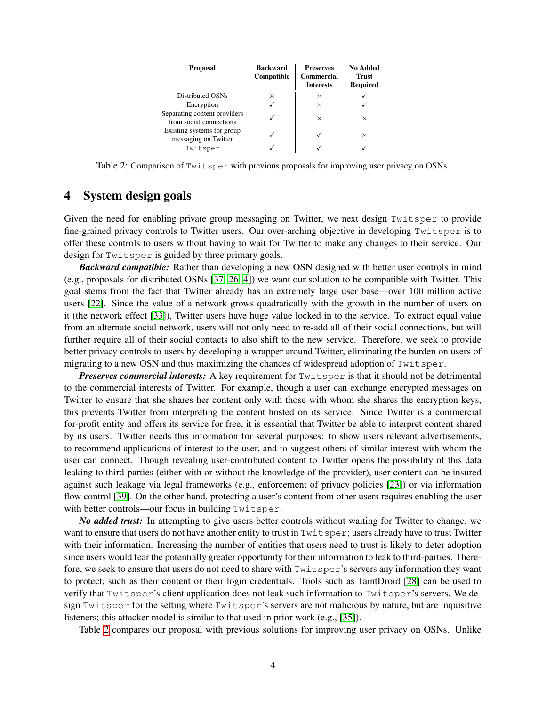<span id="page-3-0"></span>

| Proposal                                                | <b>Backward</b><br>Compatible | <b>Preserves</b><br><b>Commercial</b><br><b>Interests</b> | <b>No Added</b><br><b>Trust</b><br><b>Required</b> |
|---------------------------------------------------------|-------------------------------|-----------------------------------------------------------|----------------------------------------------------|
| Distributed OSNs                                        | $\times$                      | ×                                                         |                                                    |
| Encryption                                              |                               | $\times$                                                  |                                                    |
| Separating content providers<br>from social connections |                               | $\times$                                                  | ×                                                  |
| Existing systems for group<br>messaging on Twitter      |                               |                                                           | ×                                                  |
| Twitsper                                                |                               |                                                           |                                                    |

Table 2: Comparison of Twitsper with previous proposals for improving user privacy on OSNs.

### 4 System design goals

Given the need for enabling private group messaging on Twitter, we next design Twitsper to provide fine-grained privacy controls to Twitter users. Our over-arching objective in developing Twitsper is to offer these controls to users without having to wait for Twitter to make any changes to their service. Our design for Twitsper is guided by three primary goals.

*Backward compatible:* Rather than developing a new OSN designed with better user controls in mind (e.g., proposals for distributed OSNs [\[37,](#page-13-0) [26,](#page-12-2) [4\]](#page-11-0)) we want our solution to be compatible with Twitter. This goal stems from the fact that Twitter already has an extremely large user base—over 100 million active users [\[22\]](#page-12-18). Since the value of a network grows quadratically with the growth in the number of users on it (the network effect [\[33\]](#page-12-19)), Twitter users have huge value locked in to the service. To extract equal value from an alternate social network, users will not only need to re-add all of their social connections, but will further require all of their social contacts to also shift to the new service. Therefore, we seek to provide better privacy controls to users by developing a wrapper around Twitter, eliminating the burden on users of migrating to a new OSN and thus maximizing the chances of widespread adoption of Twitsper.

*Preserves commercial interests:* A key requirement for  $Twitsper$  is that it should not be detrimental to the commercial interests of Twitter. For example, though a user can exchange encrypted messages on Twitter to ensure that she shares her content only with those with whom she shares the encryption keys, this prevents Twitter from interpreting the content hosted on its service. Since Twitter is a commercial for-profit entity and offers its service for free, it is essential that Twitter be able to interpret content shared by its users. Twitter needs this information for several purposes: to show users relevant advertisements, to recommend applications of interest to the user, and to suggest others of similar interest with whom the user can connect. Though revealing user-contributed content to Twitter opens the possibility of this data leaking to third-parties (either with or without the knowledge of the provider), user content can be insured against such leakage via legal frameworks (e.g., enforcement of privacy policies [\[23\]](#page-12-20)) or via information flow control [\[39\]](#page-13-3). On the other hand, protecting a user's content from other users requires enabling the user with better controls—our focus in building Twitsper.

*No added trust:* In attempting to give users better controls without waiting for Twitter to change, we want to ensure that users do not have another entity to trust in Twitters users already have to trust Twitter with their information. Increasing the number of entities that users need to trust is likely to deter adoption since users would fear the potentially greater opportunity for their information to leak to third-parties. Therefore, we seek to ensure that users do not need to share with Twitsper's servers any information they want to protect, such as their content or their login credentials. Tools such as TaintDroid [\[28\]](#page-12-21) can be used to verify that Twitsper's client application does not leak such information to Twitsper's servers. We design Twitsper for the setting where Twitsper's servers are not malicious by nature, but are inquisitive listeners; this attacker model is similar to that used in prior work (e.g., [\[35\]](#page-13-4)).

Table [2](#page-3-0) compares our proposal with previous solutions for improving user privacy on OSNs. Unlike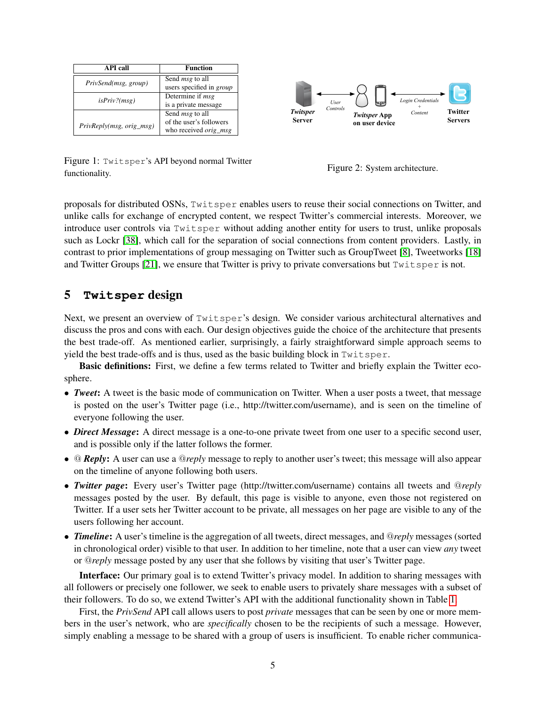<span id="page-4-0"></span>

| <b>API</b> call          | Function                        |  |  |
|--------------------------|---------------------------------|--|--|
| PrivSend(msg, group)     | Send <i>msg</i> to all          |  |  |
|                          | users specified in <i>group</i> |  |  |
|                          | Determine if msg                |  |  |
| isPriv?(msg)             | is a private message            |  |  |
|                          | Send <i>msg</i> to all          |  |  |
| PrivReply(msg, orig_msg) | of the user's followers         |  |  |
|                          | who received orig_msg           |  |  |



Figure 1: Twitsper's API beyond normal Twitter functionality.

Figure 2: System architecture.

proposals for distributed OSNs, Twitsper enables users to reuse their social connections on Twitter, and unlike calls for exchange of encrypted content, we respect Twitter's commercial interests. Moreover, we introduce user controls via Twitsper without adding another entity for users to trust, unlike proposals such as Lockr [\[38\]](#page-13-1), which call for the separation of social connections from content providers. Lastly, in contrast to prior implementations of group messaging on Twitter such as GroupTweet [\[8\]](#page-12-5), Tweetworks [\[18\]](#page-12-6) and Twitter Groups [\[21\]](#page-12-7), we ensure that Twitter is privy to private conversations but Twitsper is not.

## 5 **Twitsper** design

Next, we present an overview of Twitsper's design. We consider various architectural alternatives and discuss the pros and cons with each. Our design objectives guide the choice of the architecture that presents the best trade-off. As mentioned earlier, surprisingly, a fairly straightforward simple approach seems to yield the best trade-offs and is thus, used as the basic building block in Twitsper.

Basic definitions: First, we define a few terms related to Twitter and briefly explain the Twitter ecosphere.

- *Tweet*: A tweet is the basic mode of communication on Twitter. When a user posts a tweet, that message is posted on the user's Twitter page (i.e., http://twitter.com/username), and is seen on the timeline of everyone following the user.
- *Direct Message*: A direct message is a one-to-one private tweet from one user to a specific second user, and is possible only if the latter follows the former.
- @ *Reply*: A user can use a @*reply* message to reply to another user's tweet; this message will also appear on the timeline of anyone following both users.
- *Twitter page*: Every user's Twitter page (http://twitter.com/username) contains all tweets and @*reply* messages posted by the user. By default, this page is visible to anyone, even those not registered on Twitter. If a user sets her Twitter account to be private, all messages on her page are visible to any of the users following her account.
- *Timeline*: A user's timeline is the aggregation of all tweets, direct messages, and @*reply* messages (sorted in chronological order) visible to that user. In addition to her timeline, note that a user can view *any* tweet or @*reply* message posted by any user that she follows by visiting that user's Twitter page.

Interface: Our primary goal is to extend Twitter's privacy model. In addition to sharing messages with all followers or precisely one follower, we seek to enable users to privately share messages with a subset of their followers. To do so, we extend Twitter's API with the additional functionality shown in Table [1.](#page-4-0)

First, the *PrivSend* API call allows users to post *private* messages that can be seen by one or more members in the user's network, who are *specifically* chosen to be the recipients of such a message. However, simply enabling a message to be shared with a group of users is insufficient. To enable richer communica-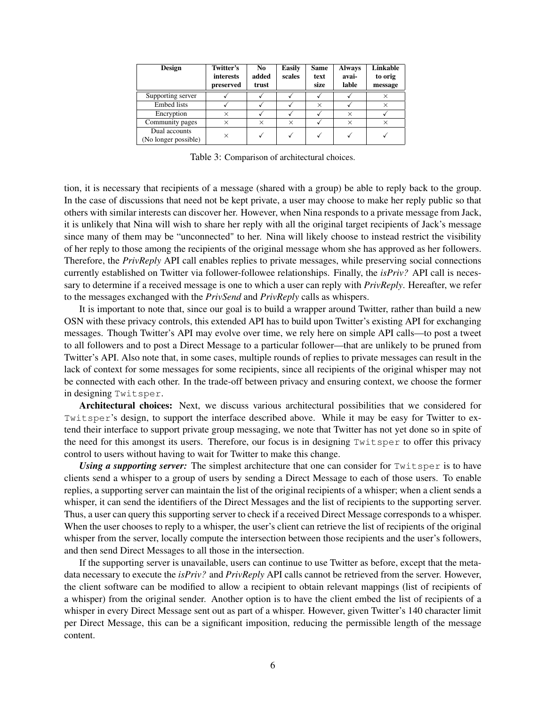<span id="page-5-0"></span>

| <b>Design</b>                         | Twitter's<br><i>interests</i><br>preserved | No.<br>added<br>trust | Easily<br>scales | <b>Same</b><br>text<br>size | <b>Always</b><br>avai-<br>lable | Linkable<br>to orig<br>message |
|---------------------------------------|--------------------------------------------|-----------------------|------------------|-----------------------------|---------------------------------|--------------------------------|
| Supporting server                     |                                            |                       |                  |                             |                                 |                                |
| <b>Embed</b> lists                    |                                            |                       |                  | $\times$                    |                                 | $\times$                       |
| Encryption                            | $\times$                                   |                       |                  |                             | $\times$                        |                                |
| Community pages                       | $\times$                                   | $\times$              | $\times$         |                             | $\times$                        | $\times$                       |
| Dual accounts<br>(No longer possible) | $\times$                                   |                       |                  |                             |                                 |                                |

Table 3: Comparison of architectural choices.

tion, it is necessary that recipients of a message (shared with a group) be able to reply back to the group. In the case of discussions that need not be kept private, a user may choose to make her reply public so that others with similar interests can discover her. However, when Nina responds to a private message from Jack, it is unlikely that Nina will wish to share her reply with all the original target recipients of Jack's message since many of them may be "unconnected" to her. Nina will likely choose to instead restrict the visibility of her reply to those among the recipients of the original message whom she has approved as her followers. Therefore, the *PrivReply* API call enables replies to private messages, while preserving social connections currently established on Twitter via follower-followee relationships. Finally, the *isPriv?* API call is necessary to determine if a received message is one to which a user can reply with *PrivReply*. Hereafter, we refer to the messages exchanged with the *PrivSend* and *PrivReply* calls as whispers.

It is important to note that, since our goal is to build a wrapper around Twitter, rather than build a new OSN with these privacy controls, this extended API has to build upon Twitter's existing API for exchanging messages. Though Twitter's API may evolve over time, we rely here on simple API calls—to post a tweet to all followers and to post a Direct Message to a particular follower—that are unlikely to be pruned from Twitter's API. Also note that, in some cases, multiple rounds of replies to private messages can result in the lack of context for some messages for some recipients, since all recipients of the original whisper may not be connected with each other. In the trade-off between privacy and ensuring context, we choose the former in designing Twitsper.

Architectural choices: Next, we discuss various architectural possibilities that we considered for Twitsper's design, to support the interface described above. While it may be easy for Twitter to extend their interface to support private group messaging, we note that Twitter has not yet done so in spite of the need for this amongst its users. Therefore, our focus is in designing Twitsper to offer this privacy control to users without having to wait for Twitter to make this change.

*Using a supporting server:* The simplest architecture that one can consider for Twitsper is to have clients send a whisper to a group of users by sending a Direct Message to each of those users. To enable replies, a supporting server can maintain the list of the original recipients of a whisper; when a client sends a whisper, it can send the identifiers of the Direct Messages and the list of recipients to the supporting server. Thus, a user can query this supporting server to check if a received Direct Message corresponds to a whisper. When the user chooses to reply to a whisper, the user's client can retrieve the list of recipients of the original whisper from the server, locally compute the intersection between those recipients and the user's followers, and then send Direct Messages to all those in the intersection.

If the supporting server is unavailable, users can continue to use Twitter as before, except that the metadata necessary to execute the *isPriv?* and *PrivReply* API calls cannot be retrieved from the server. However, the client software can be modified to allow a recipient to obtain relevant mappings (list of recipients of a whisper) from the original sender. Another option is to have the client embed the list of recipients of a whisper in every Direct Message sent out as part of a whisper. However, given Twitter's 140 character limit per Direct Message, this can be a significant imposition, reducing the permissible length of the message content.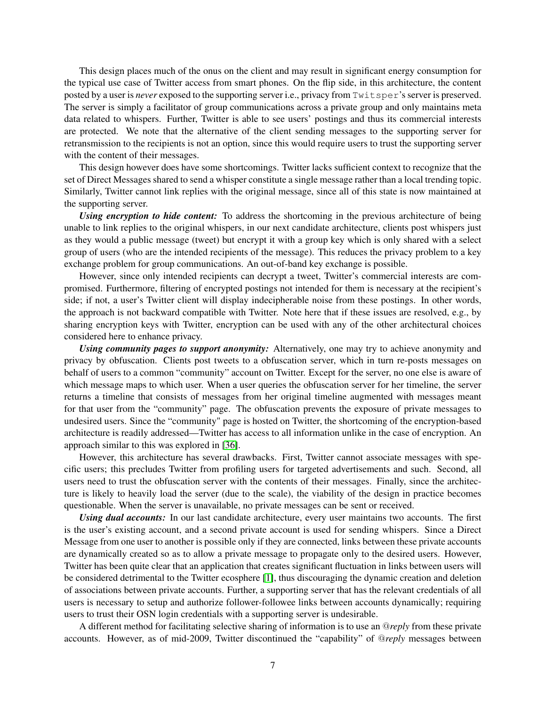This design places much of the onus on the client and may result in significant energy consumption for the typical use case of Twitter access from smart phones. On the flip side, in this architecture, the content posted by a user is *never* exposed to the supporting server i.e., privacy from Twitsper's server is preserved. The server is simply a facilitator of group communications across a private group and only maintains meta data related to whispers. Further, Twitter is able to see users' postings and thus its commercial interests are protected. We note that the alternative of the client sending messages to the supporting server for retransmission to the recipients is not an option, since this would require users to trust the supporting server with the content of their messages.

This design however does have some shortcomings. Twitter lacks sufficient context to recognize that the set of Direct Messages shared to send a whisper constitute a single message rather than a local trending topic. Similarly, Twitter cannot link replies with the original message, since all of this state is now maintained at the supporting server.

*Using encryption to hide content:* To address the shortcoming in the previous architecture of being unable to link replies to the original whispers, in our next candidate architecture, clients post whispers just as they would a public message (tweet) but encrypt it with a group key which is only shared with a select group of users (who are the intended recipients of the message). This reduces the privacy problem to a key exchange problem for group communications. An out-of-band key exchange is possible.

However, since only intended recipients can decrypt a tweet, Twitter's commercial interests are compromised. Furthermore, filtering of encrypted postings not intended for them is necessary at the recipient's side; if not, a user's Twitter client will display indecipherable noise from these postings. In other words, the approach is not backward compatible with Twitter. Note here that if these issues are resolved, e.g., by sharing encryption keys with Twitter, encryption can be used with any of the other architectural choices considered here to enhance privacy.

*Using community pages to support anonymity:* Alternatively, one may try to achieve anonymity and privacy by obfuscation. Clients post tweets to a obfuscation server, which in turn re-posts messages on behalf of users to a common "community" account on Twitter. Except for the server, no one else is aware of which message maps to which user. When a user queries the obfuscation server for her timeline, the server returns a timeline that consists of messages from her original timeline augmented with messages meant for that user from the "community" page. The obfuscation prevents the exposure of private messages to undesired users. Since the "community" page is hosted on Twitter, the shortcoming of the encryption-based architecture is readily addressed—Twitter has access to all information unlike in the case of encryption. An approach similar to this was explored in [\[36\]](#page-13-5).

However, this architecture has several drawbacks. First, Twitter cannot associate messages with specific users; this precludes Twitter from profiling users for targeted advertisements and such. Second, all users need to trust the obfuscation server with the contents of their messages. Finally, since the architecture is likely to heavily load the server (due to the scale), the viability of the design in practice becomes questionable. When the server is unavailable, no private messages can be sent or received.

*Using dual accounts:* In our last candidate architecture, every user maintains two accounts. The first is the user's existing account, and a second private account is used for sending whispers. Since a Direct Message from one user to another is possible only if they are connected, links between these private accounts are dynamically created so as to allow a private message to propagate only to the desired users. However, Twitter has been quite clear that an application that creates significant fluctuation in links between users will be considered detrimental to the Twitter ecosphere [\[1\]](#page-11-3), thus discouraging the dynamic creation and deletion of associations between private accounts. Further, a supporting server that has the relevant credentials of all users is necessary to setup and authorize follower-followee links between accounts dynamically; requiring users to trust their OSN login credentials with a supporting server is undesirable.

A different method for facilitating selective sharing of information is to use an @*reply* from these private accounts. However, as of mid-2009, Twitter discontinued the "capability" of @*reply* messages between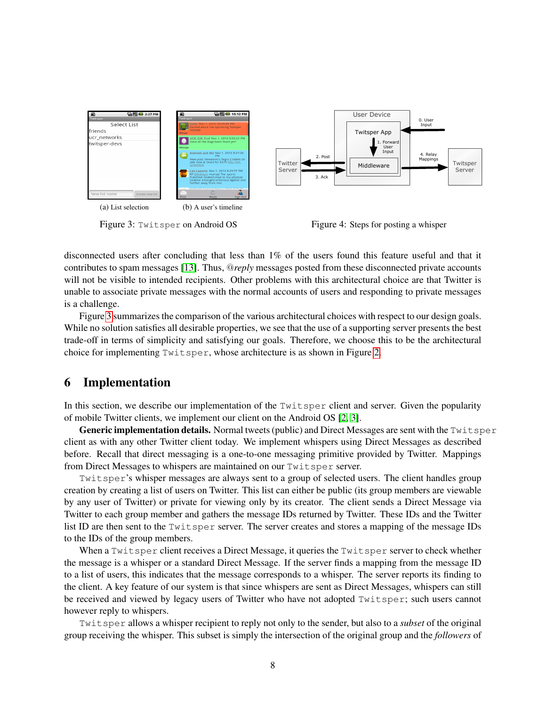<span id="page-7-0"></span>

disconnected users after concluding that less than 1% of the users found this feature useful and that it contributes to spam messages [\[13\]](#page-12-22). Thus, @*reply* messages posted from these disconnected private accounts will not be visible to intended recipients. Other problems with this architectural choice are that Twitter is unable to associate private messages with the normal accounts of users and responding to private messages is a challenge.

Figure [3](#page-5-0) summarizes the comparison of the various architectural choices with respect to our design goals. While no solution satisfies all desirable properties, we see that the use of a supporting server presents the best trade-off in terms of simplicity and satisfying our goals. Therefore, we choose this to be the architectural choice for implementing Twitsper, whose architecture is as shown in Figure [2.](#page-4-0)

### 6 Implementation

In this section, we describe our implementation of the Twitsper client and server. Given the popularity of mobile Twitter clients, we implement our client on the Android OS [\[2,](#page-11-4) [3\]](#page-11-5).

**Generic implementation details.** Normal tweets (public) and Direct Messages are sent with the Twitsper client as with any other Twitter client today. We implement whispers using Direct Messages as described before. Recall that direct messaging is a one-to-one messaging primitive provided by Twitter. Mappings from Direct Messages to whispers are maintained on our Twitsper server.

Twitsper's whisper messages are always sent to a group of selected users. The client handles group creation by creating a list of users on Twitter. This list can either be public (its group members are viewable by any user of Twitter) or private for viewing only by its creator. The client sends a Direct Message via Twitter to each group member and gathers the message IDs returned by Twitter. These IDs and the Twitter list ID are then sent to the Twitsper server. The server creates and stores a mapping of the message IDs to the IDs of the group members.

When a Twitsper client receives a Direct Message, it queries the Twitsper server to check whether the message is a whisper or a standard Direct Message. If the server finds a mapping from the message ID to a list of users, this indicates that the message corresponds to a whisper. The server reports its finding to the client. A key feature of our system is that since whispers are sent as Direct Messages, whispers can still be received and viewed by legacy users of Twitter who have not adopted Twitsper; such users cannot however reply to whispers.

Twitsper allows a whisper recipient to reply not only to the sender, but also to a *subset* of the original group receiving the whisper. This subset is simply the intersection of the original group and the *followers* of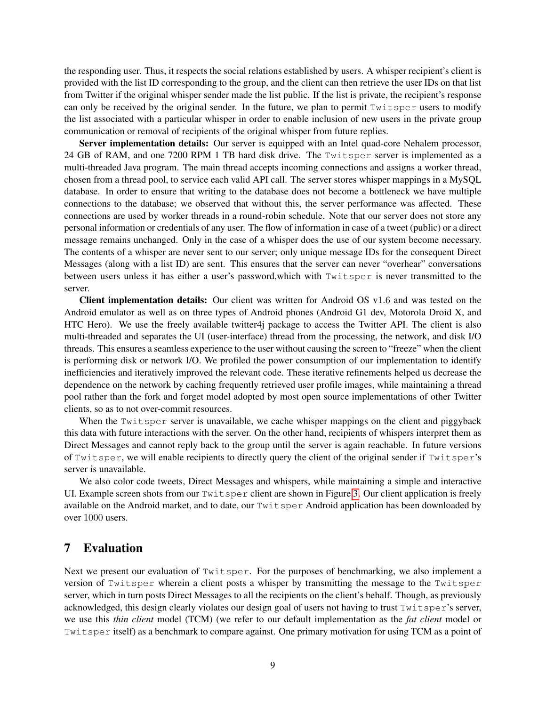the responding user. Thus, it respects the social relations established by users. A whisper recipient's client is provided with the list ID corresponding to the group, and the client can then retrieve the user IDs on that list from Twitter if the original whisper sender made the list public. If the list is private, the recipient's response can only be received by the original sender. In the future, we plan to permit Twitsper users to modify the list associated with a particular whisper in order to enable inclusion of new users in the private group communication or removal of recipients of the original whisper from future replies.

Server implementation details: Our server is equipped with an Intel quad-core Nehalem processor, 24 GB of RAM, and one 7200 RPM 1 TB hard disk drive. The Twitsper server is implemented as a multi-threaded Java program. The main thread accepts incoming connections and assigns a worker thread, chosen from a thread pool, to service each valid API call. The server stores whisper mappings in a MySQL database. In order to ensure that writing to the database does not become a bottleneck we have multiple connections to the database; we observed that without this, the server performance was affected. These connections are used by worker threads in a round-robin schedule. Note that our server does not store any personal information or credentials of any user. The flow of information in case of a tweet (public) or a direct message remains unchanged. Only in the case of a whisper does the use of our system become necessary. The contents of a whisper are never sent to our server; only unique message IDs for the consequent Direct Messages (along with a list ID) are sent. This ensures that the server can never "overhear" conversations between users unless it has either a user's password,which with Twitsper is never transmitted to the server.

Client implementation details: Our client was written for Android OS v1.6 and was tested on the Android emulator as well as on three types of Android phones (Android G1 dev, Motorola Droid X, and HTC Hero). We use the freely available twitter4j package to access the Twitter API. The client is also multi-threaded and separates the UI (user-interface) thread from the processing, the network, and disk I/O threads. This ensures a seamless experience to the user without causing the screen to "freeze" when the client is performing disk or network I/O. We profiled the power consumption of our implementation to identify inefficiencies and iteratively improved the relevant code. These iterative refinements helped us decrease the dependence on the network by caching frequently retrieved user profile images, while maintaining a thread pool rather than the fork and forget model adopted by most open source implementations of other Twitter clients, so as to not over-commit resources.

When the Twitsper server is unavailable, we cache whisper mappings on the client and piggyback this data with future interactions with the server. On the other hand, recipients of whispers interpret them as Direct Messages and cannot reply back to the group until the server is again reachable. In future versions of Twitsper, we will enable recipients to directly query the client of the original sender if Twitsper's server is unavailable.

We also color code tweets, Direct Messages and whispers, while maintaining a simple and interactive UI. Example screen shots from our  $Twitsper$  client are shown in Figure [3.](#page-7-0) Our client application is freely available on the Android market, and to date, our Twitsper Android application has been downloaded by over 1000 users.

### 7 Evaluation

Next we present our evaluation of  $Twitsper$ . For the purposes of benchmarking, we also implement a version of Twitsper wherein a client posts a whisper by transmitting the message to the Twitsper server, which in turn posts Direct Messages to all the recipients on the client's behalf. Though, as previously acknowledged, this design clearly violates our design goal of users not having to trust Twitsper's server, we use this *thin client* model (TCM) (we refer to our default implementation as the *fat client* model or Twitsper itself) as a benchmark to compare against. One primary motivation for using TCM as a point of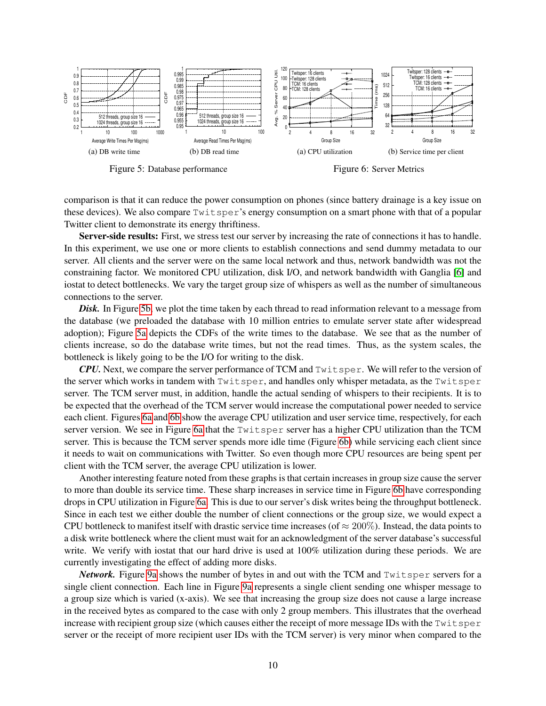<span id="page-9-1"></span>

<span id="page-9-0"></span>Figure 5: Database performance

<span id="page-9-3"></span><span id="page-9-2"></span>Figure 6: Server Metrics

comparison is that it can reduce the power consumption on phones (since battery drainage is a key issue on these devices). We also compare  $Twitsper's$  energy consumption on a smart phone with that of a popular Twitter client to demonstrate its energy thriftiness.

Server-side results: First, we stress test our server by increasing the rate of connections it has to handle. In this experiment, we use one or more clients to establish connections and send dummy metadata to our server. All clients and the server were on the same local network and thus, network bandwidth was not the constraining factor. We monitored CPU utilization, disk I/O, and network bandwidth with Ganglia [\[6\]](#page-11-6) and iostat to detect bottlenecks. We vary the target group size of whispers as well as the number of simultaneous connections to the server.

*Disk.* In Figure [5b,](#page-9-0) we plot the time taken by each thread to read information relevant to a message from the database (we preloaded the database with 10 million entries to emulate server state after widespread adoption); Figure [5a](#page-9-1) depicts the CDFs of the write times to the database. We see that as the number of clients increase, so do the database write times, but not the read times. Thus, as the system scales, the bottleneck is likely going to be the I/O for writing to the disk.

*CPU.* Next, we compare the server performance of TCM and Twitsper. We will refer to the version of the server which works in tandem with Twitsper, and handles only whisper metadata, as the Twitsper server. The TCM server must, in addition, handle the actual sending of whispers to their recipients. It is to be expected that the overhead of the TCM server would increase the computational power needed to service each client. Figures [6a](#page-9-2) and [6b](#page-9-3) show the average CPU utilization and user service time, respectively, for each server version. We see in Figure [6a](#page-9-2) that the Twitsper server has a higher CPU utilization than the TCM server. This is because the TCM server spends more idle time (Figure [6b\)](#page-9-3) while servicing each client since it needs to wait on communications with Twitter. So even though more CPU resources are being spent per client with the TCM server, the average CPU utilization is lower.

Another interesting feature noted from these graphs is that certain increases in group size cause the server to more than double its service time. These sharp increases in service time in Figure [6b](#page-9-3) have corresponding drops in CPU utilization in Figure [6a.](#page-9-2) This is due to our server's disk writes being the throughput bottleneck. Since in each test we either double the number of client connections or the group size, we would expect a CPU bottleneck to manifest itself with drastic service time increases (of  $\approx 200\%$ ). Instead, the data points to a disk write bottleneck where the client must wait for an acknowledgment of the server database's successful write. We verify with iostat that our hard drive is used at 100% utilization during these periods. We are currently investigating the effect of adding more disks.

*Network.* Figure [9a](#page-11-7) shows the number of bytes in and out with the TCM and Twitsper servers for a single client connection. Each line in Figure [9a](#page-11-7) represents a single client sending one whisper message to a group size which is varied (x-axis). We see that increasing the group size does not cause a large increase in the received bytes as compared to the case with only 2 group members. This illustrates that the overhead increase with recipient group size (which causes either the receipt of more message IDs with the Twitsper server or the receipt of more recipient user IDs with the TCM server) is very minor when compared to the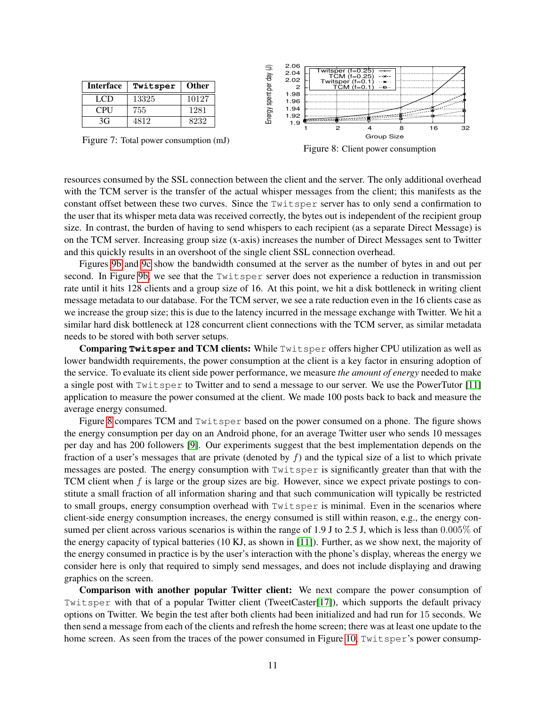<span id="page-10-0"></span>

Figure 7: Total power consumption (mJ)

Figure 8: Client power consumption

resources consumed by the SSL connection between the client and the server. The only additional overhead with the TCM server is the transfer of the actual whisper messages from the client; this manifests as the constant offset between these two curves. Since the Twitsper server has to only send a confirmation to the user that its whisper meta data was received correctly, the bytes out is independent of the recipient group size. In contrast, the burden of having to send whispers to each recipient (as a separate Direct Message) is on the TCM server. Increasing group size (x-axis) increases the number of Direct Messages sent to Twitter and this quickly results in an overshoot of the single client SSL connection overhead.

Figures [9b](#page-11-8) and [9c](#page-11-9) show the bandwidth consumed at the server as the number of bytes in and out per second. In Figure [9b,](#page-11-8) we see that the Twitsper server does not experience a reduction in transmission rate until it hits 128 clients and a group size of 16. At this point, we hit a disk bottleneck in writing client message metadata to our database. For the TCM server, we see a rate reduction even in the 16 clients case as we increase the group size; this is due to the latency incurred in the message exchange with Twitter. We hit a similar hard disk bottleneck at 128 concurrent client connections with the TCM server, as similar metadata needs to be stored with both server setups.

Comparing **Twitsper** and TCM clients: While Twitsper offers higher CPU utilization as well as lower bandwidth requirements, the power consumption at the client is a key factor in ensuring adoption of the service. To evaluate its client side power performance, we measure *the amount of energy* needed to make a single post with Twitsper to Twitter and to send a message to our server. We use the PowerTutor [\[11\]](#page-12-23) application to measure the power consumed at the client. We made 100 posts back to back and measure the average energy consumed.

Figure [8](#page-10-0) compares TCM and Twitsper based on the power consumed on a phone. The figure shows the energy consumption per day on an Android phone, for an average Twitter user who sends 10 messages per day and has 200 followers [\[9\]](#page-12-24). Our experiments suggest that the best implementation depends on the fraction of a user's messages that are private (denoted by  $f$ ) and the typical size of a list to which private messages are posted. The energy consumption with Twitsper is significantly greater than that with the TCM client when  $f$  is large or the group sizes are big. However, since we expect private postings to constitute a small fraction of all information sharing and that such communication will typically be restricted to small groups, energy consumption overhead with Twitsper is minimal. Even in the scenarios where client-side energy consumption increases, the energy consumed is still within reason, e.g., the energy consumed per client across various scenarios is within the range of 1.9 J to 2.5 J, which is less than 0.005% of the energy capacity of typical batteries (10 KJ, as shown in [\[11\]](#page-12-23)). Further, as we show next, the majority of the energy consumed in practice is by the user's interaction with the phone's display, whereas the energy we consider here is only that required to simply send messages, and does not include displaying and drawing graphics on the screen.

Comparison with another popular Twitter client: We next compare the power consumption of Twitsper with that of a popular Twitter client (TweetCaster[\[17\]](#page-12-25)), which supports the default privacy options on Twitter. We begin the test after both clients had been initialized and had run for 15 seconds. We then send a message from each of the clients and refresh the home screen; there was at least one update to the home screen. As seen from the traces of the power consumed in Figure [10,](#page-11-10) Twitsper's power consump-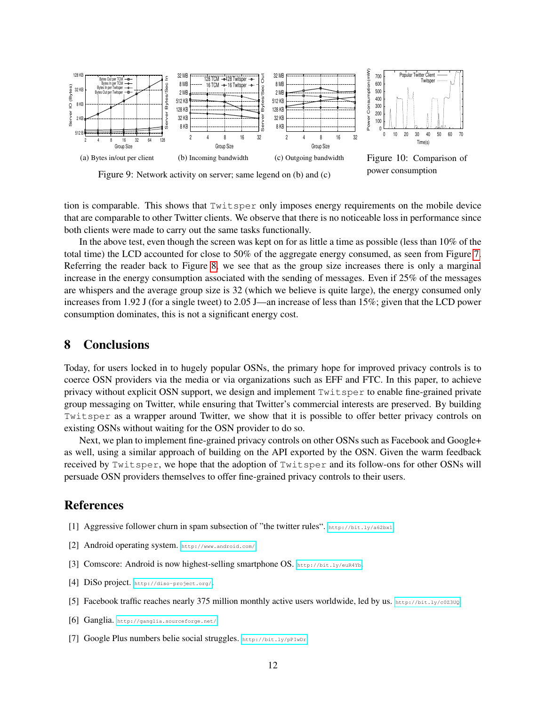<span id="page-11-10"></span><span id="page-11-7"></span>

<span id="page-11-8"></span>Figure 9: Network activity on server; same legend on (b) and (c)

<span id="page-11-9"></span>power consumption

tion is comparable. This shows that Twitsper only imposes energy requirements on the mobile device that are comparable to other Twitter clients. We observe that there is no noticeable loss in performance since both clients were made to carry out the same tasks functionally.

In the above test, even though the screen was kept on for as little a time as possible (less than 10% of the total time) the LCD accounted for close to 50% of the aggregate energy consumed, as seen from Figure [7.](#page-10-0) Referring the reader back to Figure [8,](#page-10-0) we see that as the group size increases there is only a marginal increase in the energy consumption associated with the sending of messages. Even if 25% of the messages are whispers and the average group size is 32 (which we believe is quite large), the energy consumed only increases from 1.92 J (for a single tweet) to 2.05 J—an increase of less than 15%; given that the LCD power consumption dominates, this is not a significant energy cost.

### 8 Conclusions

Today, for users locked in to hugely popular OSNs, the primary hope for improved privacy controls is to coerce OSN providers via the media or via organizations such as EFF and FTC. In this paper, to achieve privacy without explicit OSN support, we design and implement Twitsper to enable fine-grained private group messaging on Twitter, while ensuring that Twitter's commercial interests are preserved. By building Twitsper as a wrapper around Twitter, we show that it is possible to offer better privacy controls on existing OSNs without waiting for the OSN provider to do so.

Next, we plan to implement fine-grained privacy controls on other OSNs such as Facebook and Google+ as well, using a similar approach of building on the API exported by the OSN. Given the warm feedback received by Twitsper, we hope that the adoption of Twitsper and its follow-ons for other OSNs will persuade OSN providers themselves to offer fine-grained privacy controls to their users.

### References

- <span id="page-11-3"></span>[1] Aggressive follower churn in spam subsection of "the twitter rules". <http://bit.ly/a62bx1>.
- <span id="page-11-4"></span>[2] Android operating system. <http://www.android.com/>.
- <span id="page-11-5"></span>[3] Comscore: Android is now highest-selling smartphone OS. <http://bit.ly/euR4Yb>.
- <span id="page-11-0"></span>[4] DiSo project. <http://diso-project.org/>.
- <span id="page-11-2"></span>[5] Facebook traffic reaches nearly 375 million monthly active users worldwide, led by us. <http://bit.ly/c0Z3UQ>.
- <span id="page-11-6"></span>[6] Ganglia. <http://ganglia.sourceforge.net/>.
- <span id="page-11-1"></span>[7] Google Plus numbers belie social struggles. <http://bit.ly/pPIwDr>.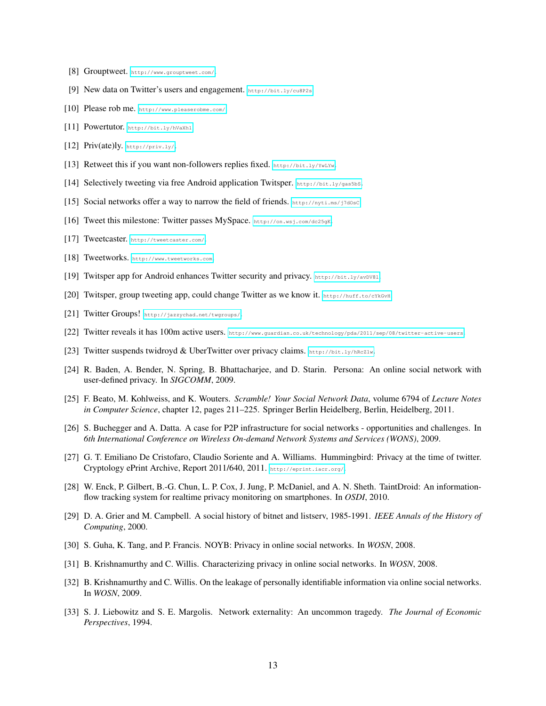- <span id="page-12-5"></span>[8] Grouptweet. <http://www.grouptweet.com/>.
- <span id="page-12-24"></span>[9] New data on Twitter's users and engagement. <http://bit.ly/cu8P2s>.
- <span id="page-12-17"></span>[10] Please rob me. <http://www.pleaserobme.com/>.
- <span id="page-12-23"></span>[11] Powertutor. <http://bit.ly/hVaXh1>.
- <span id="page-12-14"></span>[12] Priv(ate)ly. <http://priv.ly/>.
- <span id="page-12-22"></span>[13] Retweet this if you want non-followers replies fixed. <http://bit.ly/YwLYw>.
- <span id="page-12-9"></span>[14] Selectively tweeting via free Android application Twitsper. <http://bit.ly/gas5bS>.
- <span id="page-12-3"></span>[15] Social networks offer a way to narrow the field of friends. http://nyti.ms/j7dosc.
- <span id="page-12-4"></span>[16] Tweet this milestone: Twitter passes MySpace. <http://on.wsj.com/dc25gK>.
- <span id="page-12-25"></span>[17] Tweetcaster. <http://tweetcaster.com/>.
- <span id="page-12-6"></span>[18] Tweetworks. <http://www.tweetworks.com>.
- <span id="page-12-10"></span>[19] Twitsper app for Android enhances Twitter security and privacy.  $h_{\text{http://bit.ly/avDV81}}$ .
- <span id="page-12-8"></span>[20] Twitsper, group tweeting app, could change Twitter as we know it. <http://huff.to/cYkGvH>.
- <span id="page-12-7"></span>[21] Twitter Groups! <http://jazzychad.net/twgroups/>.
- <span id="page-12-18"></span>[22] Twitter reveals it has 100m active users. [http://www.guardian.co.uk/technology/pda/2011/sep/08/twitter-active-users](http://www.guardian.co.uk/technology/pda/ 2011/sep/08/twitter-active-users).
- <span id="page-12-20"></span>[23] Twitter suspends twidroyd & UberTwitter over privacy claims. <http://bit.ly/hRcZ1w>.
- <span id="page-12-1"></span>[24] R. Baden, A. Bender, N. Spring, B. Bhattacharjee, and D. Starin. Persona: An online social network with user-defined privacy. In *SIGCOMM*, 2009.
- <span id="page-12-13"></span>[25] F. Beato, M. Kohlweiss, and K. Wouters. *Scramble! Your Social Network Data*, volume 6794 of *Lecture Notes in Computer Science*, chapter 12, pages 211–225. Springer Berlin Heidelberg, Berlin, Heidelberg, 2011.
- <span id="page-12-2"></span>[26] S. Buchegger and A. Datta. A case for P2P infrastructure for social networks - opportunities and challenges. In *6th International Conference on Wireless On-demand Network Systems and Services (WONS)*, 2009.
- <span id="page-12-15"></span>[27] G. T. Emiliano De Cristofaro, Claudio Soriente and A. Williams. Hummingbird: Privacy at the time of twitter. Cryptology ePrint Archive, Report 2011/640, 2011. <http://eprint.iacr.org/>.
- <span id="page-12-21"></span>[28] W. Enck, P. Gilbert, B.-G. Chun, L. P. Cox, J. Jung, P. McDaniel, and A. N. Sheth. TaintDroid: An informationflow tracking system for realtime privacy monitoring on smartphones. In *OSDI*, 2010.
- <span id="page-12-16"></span>[29] D. A. Grier and M. Campbell. A social history of bitnet and listserv, 1985-1991. *IEEE Annals of the History of Computing*, 2000.
- <span id="page-12-0"></span>[30] S. Guha, K. Tang, and P. Francis. NOYB: Privacy in online social networks. In *WOSN*, 2008.
- <span id="page-12-11"></span>[31] B. Krishnamurthy and C. Willis. Characterizing privacy in online social networks. In *WOSN*, 2008.
- <span id="page-12-12"></span>[32] B. Krishnamurthy and C. Willis. On the leakage of personally identifiable information via online social networks. In *WOSN*, 2009.
- <span id="page-12-19"></span>[33] S. J. Liebowitz and S. E. Margolis. Network externality: An uncommon tragedy. *The Journal of Economic Perspectives*, 1994.